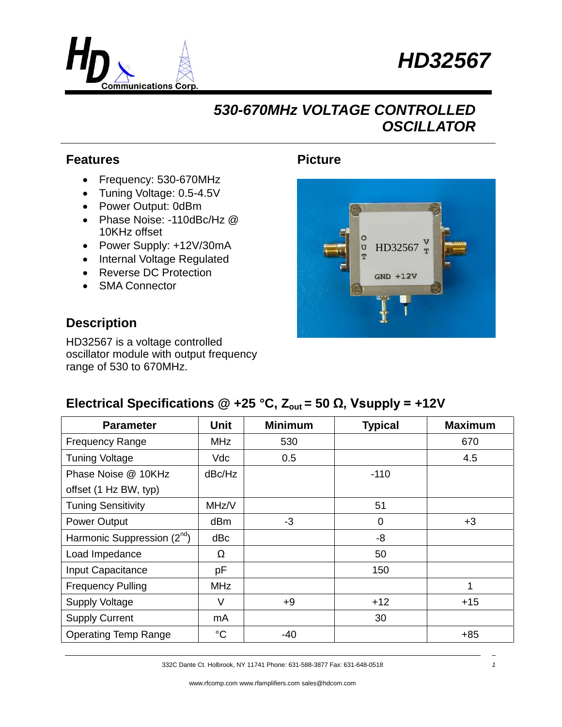



## *530-670MHz VOLTAGE CONTROLLED OSCILLATOR*

#### **Features**

- Frequency: 530-670MHz
- Tuning Voltage: 0.5-4.5V
- Power Output: 0dBm
- Phase Noise: -110dBc/Hz @ 10KHz offset
- Power Supply: +12V/30mA
- Internal Voltage Regulated
- Reverse DC Protection
- SMA Connector

#### **Description**

HD32567 is a voltage controlled oscillator module with output frequency range of 530 to 670MHz.

#### **Picture**



### **Electrical Specifications @ +25 °C,**  $Z_{\text{out}}$  **= 50 Ω, Vsupply = +12V**

| <b>Parameter</b>                        | Unit            | <b>Minimum</b> | <b>Typical</b> | <b>Maximum</b> |
|-----------------------------------------|-----------------|----------------|----------------|----------------|
| <b>Frequency Range</b>                  | <b>MHz</b>      | 530            |                | 670            |
| <b>Tuning Voltage</b>                   | Vdc             | 0.5            |                | 4.5            |
| Phase Noise @ 10KHz                     | dBc/Hz          |                | $-110$         |                |
| offset (1 Hz BW, typ)                   |                 |                |                |                |
| <b>Tuning Sensitivity</b>               | MHz/V           |                | 51             |                |
| Power Output                            | dB <sub>m</sub> | $-3$           | $\overline{0}$ | $+3$           |
| Harmonic Suppression (2 <sup>nd</sup> ) | dBc             |                | -8             |                |
| Load Impedance                          | Ω               |                | 50             |                |
| Input Capacitance                       | pF              |                | 150            |                |
| <b>Frequency Pulling</b>                | <b>MHz</b>      |                |                | 1              |
| <b>Supply Voltage</b>                   | V               | $+9$           | $+12$          | $+15$          |
| <b>Supply Current</b>                   | mA              |                | 30             |                |
| <b>Operating Temp Range</b>             | $^{\circ}C$     | -40            |                | $+85$          |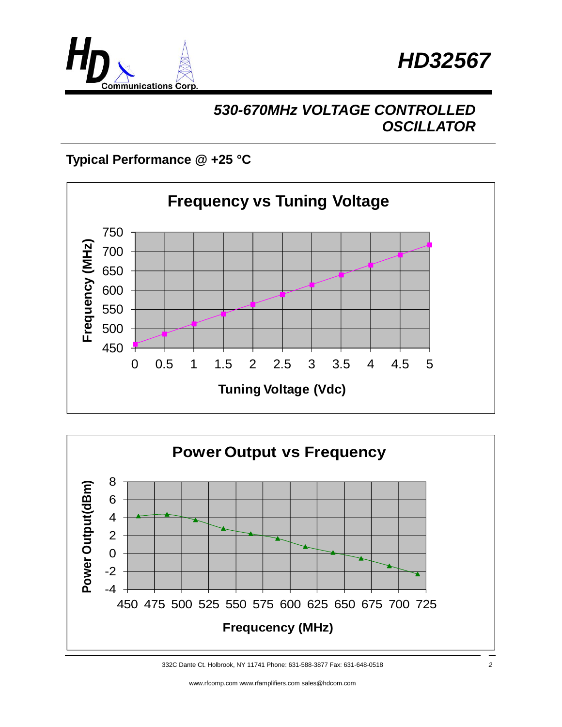



# *530-670MHz VOLTAGE CONTROLLED OSCILLATOR*

### **Typical Performance @ +25 °C**





332C Dante Ct. Holbrook, NY 11741 Phone: 631-588-3877 Fax: 631-648-0518